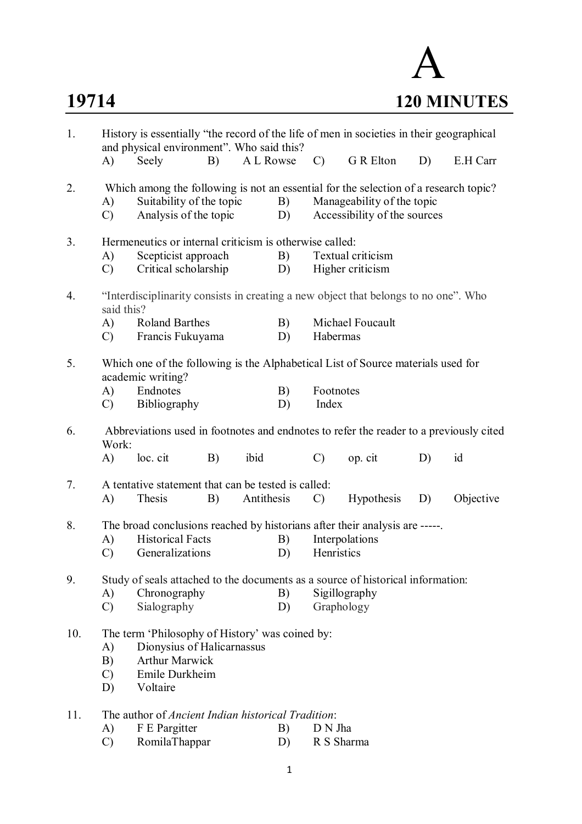

| 1.  | History is essentially "the record of the life of men in societies in their geographical<br>and physical environment". Who said this?                                   |                                                                                                                          |    |            |          |                                                                                                                                                    |                                       |    |           |
|-----|-------------------------------------------------------------------------------------------------------------------------------------------------------------------------|--------------------------------------------------------------------------------------------------------------------------|----|------------|----------|----------------------------------------------------------------------------------------------------------------------------------------------------|---------------------------------------|----|-----------|
|     | $\mathbf{A}$                                                                                                                                                            | Seely                                                                                                                    | B) | A L Rowse  |          | $\mathcal{C}$                                                                                                                                      | G R Elton                             | D) | E.H Carr  |
| 2.  | A)<br>$\mathcal{C}$                                                                                                                                                     | Suitability of the topic<br>Analysis of the topic                                                                        |    |            | B)<br>D) | Which among the following is not an essential for the selection of a research topic?<br>Manageability of the topic<br>Accessibility of the sources |                                       |    |           |
| 3.  | A)<br>$\mathcal{C}$                                                                                                                                                     | Hermeneutics or internal criticism is otherwise called:<br>Scepticist approach<br>Critical scholarship                   |    |            | B)<br>D) |                                                                                                                                                    | Textual criticism<br>Higher criticism |    |           |
| 4.  | said this?                                                                                                                                                              | "Interdisciplinarity consists in creating a new object that belongs to no one". Who                                      |    |            |          |                                                                                                                                                    |                                       |    |           |
|     | A)<br>$\mathcal{C}$                                                                                                                                                     | <b>Roland Barthes</b><br>Francis Fukuyama                                                                                |    |            | B)<br>D) | Habermas                                                                                                                                           | Michael Foucault                      |    |           |
| 5.  |                                                                                                                                                                         | Which one of the following is the Alphabetical List of Source materials used for<br>academic writing?                    |    |            |          |                                                                                                                                                    |                                       |    |           |
|     | A)<br>$\mathcal{C}$                                                                                                                                                     | Endnotes<br>Bibliography                                                                                                 |    |            | B)<br>D) | Footnotes<br>Index                                                                                                                                 |                                       |    |           |
| 6.  | Abbreviations used in footnotes and endnotes to refer the reader to a previously cited<br>Work:                                                                         |                                                                                                                          |    |            |          |                                                                                                                                                    |                                       |    |           |
|     | A)                                                                                                                                                                      | loc. cit                                                                                                                 | B) | ibid       |          | $\mathcal{C}$                                                                                                                                      | op. cit                               | D) | id        |
| 7.  | A)                                                                                                                                                                      | A tentative statement that can be tested is called:<br>Thesis                                                            | B) | Antithesis |          | $\mathcal{C}$                                                                                                                                      | Hypothesis                            | D) | Objective |
| 8.  | A)<br>$\mathcal{C}$                                                                                                                                                     | The broad conclusions reached by historians after their analysis are -----<br><b>Historical Facts</b><br>Generalizations |    |            | B)<br>D) | Henristics                                                                                                                                         | Interpolations                        |    |           |
| 9.  | A)<br>$\mathcal{C}$                                                                                                                                                     | Study of seals attached to the documents as a source of historical information:<br>Chronography<br>Sialography           |    |            | B)<br>D) | Graphology                                                                                                                                         | Sigillography                         |    |           |
| 10. | The term 'Philosophy of History' was coined by:<br>Dionysius of Halicarnassus<br>A)<br><b>Arthur Marwick</b><br>B)<br>Emile Durkheim<br>$\mathcal{C}$<br>D)<br>Voltaire |                                                                                                                          |    |            |          |                                                                                                                                                    |                                       |    |           |
| 11. | A)<br>$\mathcal{C}$                                                                                                                                                     | The author of <i>Ancient Indian historical Tradition</i> :<br>F E Pargitter<br>RomilaThappar                             |    |            | B)<br>D) | D N Jha<br>R S Sharma                                                                                                                              |                                       |    |           |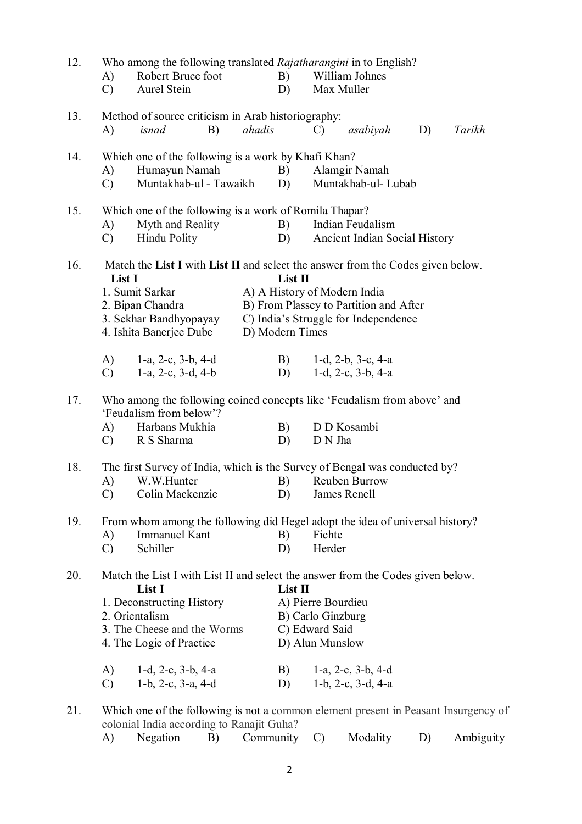| 12. | A)<br>$\mathcal{C}$ | Robert Bruce foot<br>Aurel Stein                       |    |                 | B)<br>D) |                    | Who among the following translated Rajatharangini in to English?<br>William Johnes<br>Max Muller |    |        |  |
|-----|---------------------|--------------------------------------------------------|----|-----------------|----------|--------------------|--------------------------------------------------------------------------------------------------|----|--------|--|
| 13. |                     | Method of source criticism in Arab historiography:     |    |                 |          |                    |                                                                                                  |    | Tarikh |  |
|     | A)                  | isnad                                                  | B) | ahadis          |          | $\mathcal{C}$      | asabiyah                                                                                         | D) |        |  |
| 14. |                     | Which one of the following is a work by Khafi Khan?    |    |                 |          |                    |                                                                                                  |    |        |  |
|     | A)                  | Humayun Namah                                          |    |                 | B)       |                    | Alamgir Namah                                                                                    |    |        |  |
|     | $\mathcal{C}$       | Muntakhab-ul - Tawaikh                                 |    |                 | D)       |                    | Muntakhab-ul-Lubab                                                                               |    |        |  |
| 15. |                     | Which one of the following is a work of Romila Thapar? |    |                 |          |                    |                                                                                                  |    |        |  |
|     | A)                  | Myth and Reality                                       |    |                 | B)       |                    | Indian Feudalism                                                                                 |    |        |  |
|     | $\mathcal{C}$       | Hindu Polity                                           |    |                 | D)       |                    | Ancient Indian Social History                                                                    |    |        |  |
| 16. | List I              |                                                        |    |                 | List II  |                    | Match the List I with List II and select the answer from the Codes given below.                  |    |        |  |
|     |                     | 1. Sumit Sarkar                                        |    |                 |          |                    | A) A History of Modern India                                                                     |    |        |  |
|     |                     | 2. Bipan Chandra                                       |    |                 |          |                    | B) From Plassey to Partition and After                                                           |    |        |  |
|     |                     | 3. Sekhar Bandhyopayay                                 |    |                 |          |                    | C) India's Struggle for Independence                                                             |    |        |  |
|     |                     | 4. Ishita Banerjee Dube                                |    | D) Modern Times |          |                    |                                                                                                  |    |        |  |
|     | $\bf{A}$ )          | 1-a, 2-c, $3-b$ , $4-d$                                |    |                 | B)       |                    | 1-d, $2-b$ , $3-c$ , $4-a$                                                                       |    |        |  |
|     | $\mathcal{C}$       | 1-a, 2-c, $3-d$ , $4-b$                                |    |                 | D)       |                    | $1-d$ , $2-c$ , $3-b$ , $4-a$                                                                    |    |        |  |
| 17. |                     | 'Feudalism from below'?                                |    |                 |          |                    | Who among the following coined concepts like 'Feudalism from above' and                          |    |        |  |
|     | A)                  | Harbans Mukhia                                         |    |                 | B)       |                    | D D Kosambi                                                                                      |    |        |  |
|     | $\mathcal{C}$       | R S Sharma                                             |    |                 | D)       | D N Jha            |                                                                                                  |    |        |  |
| 18. |                     |                                                        |    |                 |          |                    | The first Survey of India, which is the Survey of Bengal was conducted by?                       |    |        |  |
|     | A)                  | W.W.Hunter                                             |    |                 | B)       |                    | Reuben Burrow                                                                                    |    |        |  |
|     | $\mathcal{C}$       | Colin Mackenzie                                        |    |                 | D)       |                    | James Renell                                                                                     |    |        |  |
| 19. |                     |                                                        |    |                 |          |                    | From whom among the following did Hegel adopt the idea of universal history?                     |    |        |  |
|     | A)                  | <b>Immanuel Kant</b>                                   |    |                 | B)       | Fichte             |                                                                                                  |    |        |  |
|     | $\mathcal{C}$       | Schiller                                               |    |                 | D)       | Herder             |                                                                                                  |    |        |  |
| 20. |                     | List I                                                 |    |                 | List II  |                    | Match the List I with List II and select the answer from the Codes given below.                  |    |        |  |
|     |                     | 1. Deconstructing History                              |    |                 |          | A) Pierre Bourdieu |                                                                                                  |    |        |  |
|     |                     | 2. Orientalism                                         |    |                 |          | B) Carlo Ginzburg  |                                                                                                  |    |        |  |
|     |                     | 3. The Cheese and the Worms                            |    |                 |          | C) Edward Said     |                                                                                                  |    |        |  |
|     |                     | 4. The Logic of Practice                               |    |                 |          | D) Alun Munslow    |                                                                                                  |    |        |  |
|     | A)                  | $1-d$ , $2-c$ , $3-b$ , $4-a$                          |    |                 | B)       |                    | 1-a, 2-c, 3-b, 4-d                                                                               |    |        |  |
|     | $\mathcal{C}$       | $1-b$ , $2-c$ , $3-a$ , $4-d$                          |    |                 | D)       |                    | $1-b$ , $2-c$ , $3-d$ , $4-a$                                                                    |    |        |  |
|     |                     |                                                        |    |                 |          |                    |                                                                                                  |    |        |  |
| 21. |                     | colonial India according to Ranajit Guha?              |    |                 |          |                    | Which one of the following is not a common element present in Peasant Insurgency of              |    |        |  |

A) Negation B) Community C) Modality D) Ambiguity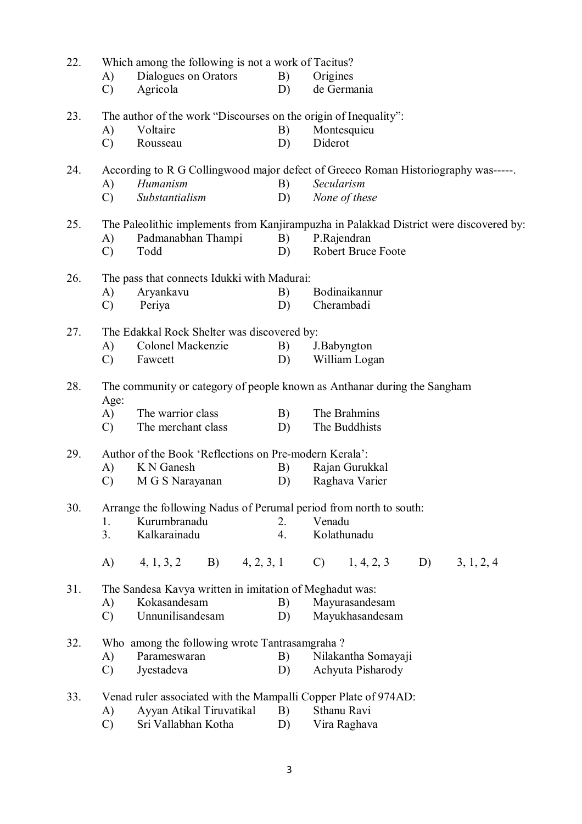| 22. | Which among the following is not a work of Tacitus?             |                                                                    |    |                                                                                        |  |  |  |  |  |  |
|-----|-----------------------------------------------------------------|--------------------------------------------------------------------|----|----------------------------------------------------------------------------------------|--|--|--|--|--|--|
|     | A)                                                              | Dialogues on Orators                                               | B) | Origines                                                                               |  |  |  |  |  |  |
|     | $\mathcal{C}$                                                   | Agricola                                                           | D) | de Germania                                                                            |  |  |  |  |  |  |
| 23. |                                                                 | The author of the work "Discourses on the origin of Inequality":   |    |                                                                                        |  |  |  |  |  |  |
|     | A)                                                              | Voltaire                                                           | B) | Montesquieu                                                                            |  |  |  |  |  |  |
|     | $\mathcal{C}$                                                   | Rousseau                                                           | D) | Diderot                                                                                |  |  |  |  |  |  |
| 24. |                                                                 |                                                                    |    | According to R G Collingwood major defect of Greeco Roman Historiography was-----.     |  |  |  |  |  |  |
|     | A)                                                              | Humanism                                                           | B) | Secularism                                                                             |  |  |  |  |  |  |
|     | $\mathcal{C}$                                                   | Substantialism                                                     | D) | None of these                                                                          |  |  |  |  |  |  |
| 25. |                                                                 |                                                                    |    | The Paleolithic implements from Kanjirampuzha in Palakkad District were discovered by: |  |  |  |  |  |  |
|     | A)                                                              | Padmanabhan Thampi                                                 | B) | P.Rajendran                                                                            |  |  |  |  |  |  |
|     | $\mathcal{C}$                                                   | Todd                                                               | D) | Robert Bruce Foote                                                                     |  |  |  |  |  |  |
| 26. |                                                                 | The pass that connects Idukki with Madurai:                        |    |                                                                                        |  |  |  |  |  |  |
|     | A)                                                              | Aryankavu                                                          | B) | Bodinaikannur                                                                          |  |  |  |  |  |  |
|     | $\mathcal{C}$                                                   | Periya                                                             | D) | Cherambadi                                                                             |  |  |  |  |  |  |
| 27. |                                                                 | The Edakkal Rock Shelter was discovered by:                        |    |                                                                                        |  |  |  |  |  |  |
|     | A)                                                              | Colonel Mackenzie                                                  | B) | J.Babyngton                                                                            |  |  |  |  |  |  |
|     | $\mathcal{C}$                                                   | Fawcett                                                            | D) | William Logan                                                                          |  |  |  |  |  |  |
| 28. |                                                                 |                                                                    |    | The community or category of people known as Anthanar during the Sangham               |  |  |  |  |  |  |
|     | Age:                                                            |                                                                    |    |                                                                                        |  |  |  |  |  |  |
|     | A)                                                              | The warrior class                                                  | B) | The Brahmins                                                                           |  |  |  |  |  |  |
|     | $\mathcal{C}$                                                   | The merchant class                                                 | D) | The Buddhists                                                                          |  |  |  |  |  |  |
| 29. |                                                                 | Author of the Book 'Reflections on Pre-modern Kerala':             |    |                                                                                        |  |  |  |  |  |  |
|     | A)                                                              | K N Ganesh                                                         | B) | Rajan Gurukkal                                                                         |  |  |  |  |  |  |
|     | $\mathcal{C}$                                                   | M G S Narayanan                                                    | D) | Raghava Varier                                                                         |  |  |  |  |  |  |
| 30. |                                                                 | Arrange the following Nadus of Perumal period from north to south: |    |                                                                                        |  |  |  |  |  |  |
|     | 1.                                                              | Kurumbranadu                                                       | 2. | Venadu                                                                                 |  |  |  |  |  |  |
|     | 3.                                                              | Kalkarainadu                                                       | 4. | Kolathunadu                                                                            |  |  |  |  |  |  |
|     | A)                                                              | B) 4, 2, 3, 1<br>4, 1, 3, 2                                        |    | $C)$ 1, 4, 2, 3<br>D)<br>3, 1, 2, 4                                                    |  |  |  |  |  |  |
| 31. |                                                                 | The Sandesa Kavya written in imitation of Meghadut was:            |    |                                                                                        |  |  |  |  |  |  |
|     | A)                                                              | Kokasandesam                                                       | B) | Mayurasandesam                                                                         |  |  |  |  |  |  |
|     | $\mathcal{C}$                                                   | Unnunilisandesam                                                   | D) | Mayukhasandesam                                                                        |  |  |  |  |  |  |
| 32. |                                                                 | Who among the following wrote Tantrasamgraha?                      |    |                                                                                        |  |  |  |  |  |  |
|     | A)                                                              | Parameswaran                                                       | B) | Nilakantha Somayaji                                                                    |  |  |  |  |  |  |
|     | $\mathcal{C}$                                                   | Jyestadeva                                                         | D) | Achyuta Pisharody                                                                      |  |  |  |  |  |  |
| 33. | Venad ruler associated with the Mampalli Copper Plate of 974AD: |                                                                    |    |                                                                                        |  |  |  |  |  |  |
|     | A)                                                              | Ayyan Atikal Tiruvatikal                                           | B) | Sthanu Ravi                                                                            |  |  |  |  |  |  |
|     | $\mathcal{C}$                                                   | Sri Vallabhan Kotha                                                | D) | Vira Raghava                                                                           |  |  |  |  |  |  |

3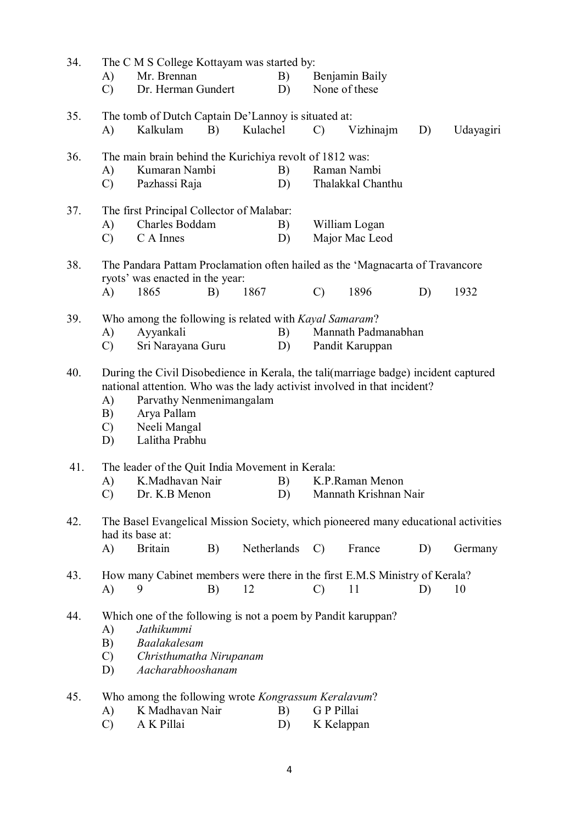| 34. | A)<br>$\mathcal{C}$                                                                                                                                                                                                                                                              | The C M S College Kottayam was started by:<br>Mr. Brennan<br>B)<br>Dr. Herman Gundert<br>D)                                                |    |          |             | Benjamin Baily<br>None of these |                                          |    |           |  |
|-----|----------------------------------------------------------------------------------------------------------------------------------------------------------------------------------------------------------------------------------------------------------------------------------|--------------------------------------------------------------------------------------------------------------------------------------------|----|----------|-------------|---------------------------------|------------------------------------------|----|-----------|--|
| 35. | A)                                                                                                                                                                                                                                                                               | The tomb of Dutch Captain De'Lannoy is situated at:<br>Kalkulam                                                                            | B) | Kulachel |             | $\mathcal{C}$                   | Vizhinajm                                | D) | Udayagiri |  |
| 36. | A)<br>$\mathcal{C}$                                                                                                                                                                                                                                                              | The main brain behind the Kurichiya revolt of 1812 was:<br>Kumaran Nambi<br>Pazhassi Raja                                                  |    |          | B)<br>D)    |                                 | Raman Nambi<br>Thalakkal Chanthu         |    |           |  |
| 37. | A)<br>$\mathcal{C}$                                                                                                                                                                                                                                                              | The first Principal Collector of Malabar:<br>Charles Boddam<br>C A Innes                                                                   |    |          | B)<br>D)    |                                 | William Logan<br>Major Mac Leod          |    |           |  |
| 38. | A)                                                                                                                                                                                                                                                                               | The Pandara Pattam Proclamation often hailed as the 'Magnacarta of Travancore'<br>ryots' was enacted in the year:<br>1865                  | B) | 1867     |             | $\mathcal{C}$                   | 1896                                     | D) | 1932      |  |
| 39. | A)<br>$\mathcal{C}$                                                                                                                                                                                                                                                              | Who among the following is related with Kayal Samaram?<br>Ayyankali<br>Sri Narayana Guru                                                   |    |          | B)<br>D)    |                                 | Mannath Padmanabhan<br>Pandit Karuppan   |    |           |  |
| 40. | During the Civil Disobedience in Kerala, the tali (marriage badge) incident captured<br>national attention. Who was the lady activist involved in that incident?<br>Parvathy Nenmenimangalam<br>A)<br>Arya Pallam<br>B)<br>Neeli Mangal<br>$\mathcal{C}$<br>Lalitha Prabhu<br>D) |                                                                                                                                            |    |          |             |                                 |                                          |    |           |  |
| 41. | A)<br>$\mathcal{C}$                                                                                                                                                                                                                                                              | The leader of the Quit India Movement in Kerala:<br>K.Madhavan Nair<br>Dr. K.B Menon                                                       |    |          | B)<br>D)    |                                 | K.P.Raman Menon<br>Mannath Krishnan Nair |    |           |  |
| 42. | $\bf{A}$                                                                                                                                                                                                                                                                         | The Basel Evangelical Mission Society, which pioneered many educational activities<br>had its base at:<br><b>Britain</b>                   | B) |          | Netherlands | $\mathcal{C}$                   | France                                   | D) | Germany   |  |
| 43. | $\bf{A}$                                                                                                                                                                                                                                                                         | How many Cabinet members were there in the first E.M.S Ministry of Kerala?<br>9                                                            | B) | 12       |             | C)                              | 11                                       | D) | 10        |  |
| 44. | A)<br>B)<br>$\mathcal{C}$<br>D)                                                                                                                                                                                                                                                  | Which one of the following is not a poem by Pandit karuppan?<br>Jathikummi<br>Baalakalesam<br>Christhumatha Nirupanam<br>Aacharabhooshanam |    |          |             |                                 |                                          |    |           |  |
| 45. | A)<br>$\mathcal{C}$                                                                                                                                                                                                                                                              | Who among the following wrote Kongrassum Keralavum?<br>K Madhavan Nair<br>A K Pillai                                                       |    |          | B)<br>D)    | G P Pillai<br>K Kelappan        |                                          |    |           |  |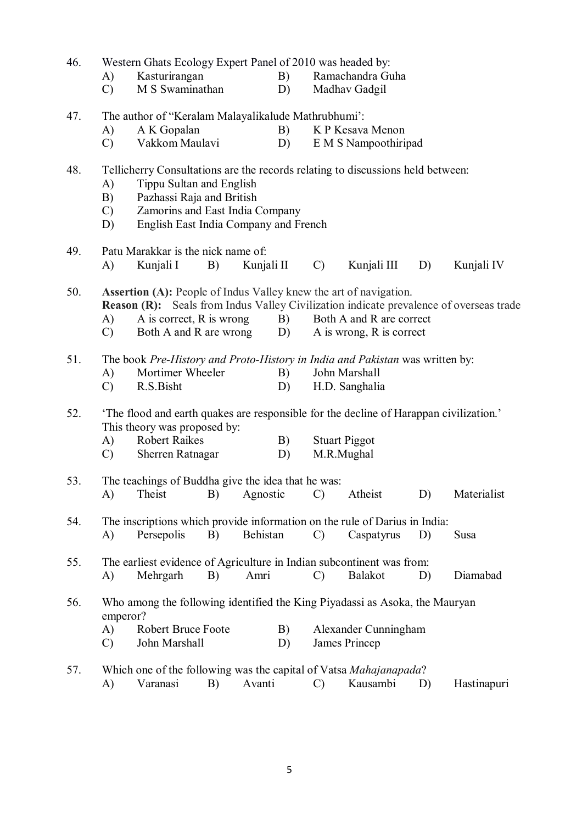| 46. | Western Ghats Ecology Expert Panel of 2010 was headed by: |                                                                                                                                |    |            |          |               |                                                      |    |                                                                                        |  |
|-----|-----------------------------------------------------------|--------------------------------------------------------------------------------------------------------------------------------|----|------------|----------|---------------|------------------------------------------------------|----|----------------------------------------------------------------------------------------|--|
|     | A)                                                        | Kasturirangan                                                                                                                  |    |            | B)       |               | Ramachandra Guha                                     |    |                                                                                        |  |
|     | $\mathcal{C}$                                             | M S Swaminathan                                                                                                                |    |            | D)       |               | Madhav Gadgil                                        |    |                                                                                        |  |
| 47. |                                                           | The author of "Keralam Malayalikalude Mathrubhumi":                                                                            |    |            |          |               |                                                      |    |                                                                                        |  |
|     | A)                                                        | A K Gopalan                                                                                                                    |    |            | B)       |               | K P Kesava Menon                                     |    |                                                                                        |  |
|     | $\mathcal{C}$                                             | Vakkom Maulavi                                                                                                                 |    |            | D)       |               | E M S Nampoothiripad                                 |    |                                                                                        |  |
| 48. |                                                           | Tellicherry Consultations are the records relating to discussions held between:                                                |    |            |          |               |                                                      |    |                                                                                        |  |
|     | A)                                                        | Tippu Sultan and English                                                                                                       |    |            |          |               |                                                      |    |                                                                                        |  |
|     | B)                                                        | Pazhassi Raja and British                                                                                                      |    |            |          |               |                                                      |    |                                                                                        |  |
|     | $\mathcal{C}$                                             | Zamorins and East India Company                                                                                                |    |            |          |               |                                                      |    |                                                                                        |  |
|     | D)                                                        | English East India Company and French                                                                                          |    |            |          |               |                                                      |    |                                                                                        |  |
| 49. |                                                           | Patu Marakkar is the nick name of:                                                                                             |    |            |          |               |                                                      |    |                                                                                        |  |
|     | A)                                                        | Kunjali I                                                                                                                      | B) | Kunjali II |          | $\mathcal{C}$ | Kunjali III                                          | D) | Kunjali IV                                                                             |  |
| 50. | A)<br>$\mathcal{C}$                                       | <b>Assertion (A):</b> People of Indus Valley knew the art of navigation.<br>A is correct, R is wrong<br>Both A and R are wrong |    |            | B)<br>D) |               | Both A and R are correct<br>A is wrong, R is correct |    | Reason (R): Seals from Indus Valley Civilization indicate prevalence of overseas trade |  |
| 51. |                                                           | The book Pre-History and Proto-History in India and Pakistan was written by:                                                   |    |            |          |               |                                                      |    |                                                                                        |  |
|     | A)                                                        | Mortimer Wheeler                                                                                                               |    |            | B)       |               | John Marshall                                        |    |                                                                                        |  |
|     | $\mathcal{C}$                                             | R.S.Bisht                                                                                                                      |    |            | D)       |               | H.D. Sanghalia                                       |    |                                                                                        |  |
| 52. |                                                           | 'The flood and earth quakes are responsible for the decline of Harappan civilization.'<br>This theory was proposed by:         |    |            |          |               |                                                      |    |                                                                                        |  |
|     | A)                                                        | <b>Robert Raikes</b>                                                                                                           |    |            | B)       |               | <b>Stuart Piggot</b>                                 |    |                                                                                        |  |
|     | $\mathcal{C}$                                             | Sherren Ratnagar                                                                                                               |    |            | D)       |               | M.R.Mughal                                           |    |                                                                                        |  |
| 53. |                                                           | The teachings of Buddha give the idea that he was:                                                                             |    |            |          |               |                                                      |    |                                                                                        |  |
|     | A)                                                        | Theist                                                                                                                         | B) | Agnostic   |          | $\mathcal{C}$ | Atheist                                              | D) | Materialist                                                                            |  |
| 54. |                                                           | The inscriptions which provide information on the rule of Darius in India:                                                     |    |            |          |               |                                                      |    |                                                                                        |  |
|     | A)                                                        | Persepolis                                                                                                                     | B) | Behistan   |          | $\mathcal{C}$ | Caspatyrus                                           | D) | Susa                                                                                   |  |
| 55. |                                                           | The earliest evidence of Agriculture in Indian subcontinent was from:                                                          |    |            |          |               |                                                      |    |                                                                                        |  |
|     | A)                                                        | Mehrgarh                                                                                                                       | B) | Amri       |          | $\mathcal{C}$ | <b>Balakot</b>                                       | D) | Diamabad                                                                               |  |
| 56. | emperor?                                                  | Who among the following identified the King Piyadassi as Asoka, the Mauryan                                                    |    |            |          |               |                                                      |    |                                                                                        |  |
|     | A)                                                        | Robert Bruce Foote                                                                                                             |    |            | B)       |               | Alexander Cunningham                                 |    |                                                                                        |  |
|     | $\mathcal{C}$                                             | John Marshall<br>D)                                                                                                            |    |            |          |               | James Princep                                        |    |                                                                                        |  |
| 57. |                                                           | Which one of the following was the capital of Vatsa Mahajanapada?                                                              |    |            |          |               |                                                      |    |                                                                                        |  |
|     | A)                                                        | Varanasi                                                                                                                       | B) | Avanti     |          | $\mathcal{C}$ | Kausambi                                             | D) | Hastinapuri                                                                            |  |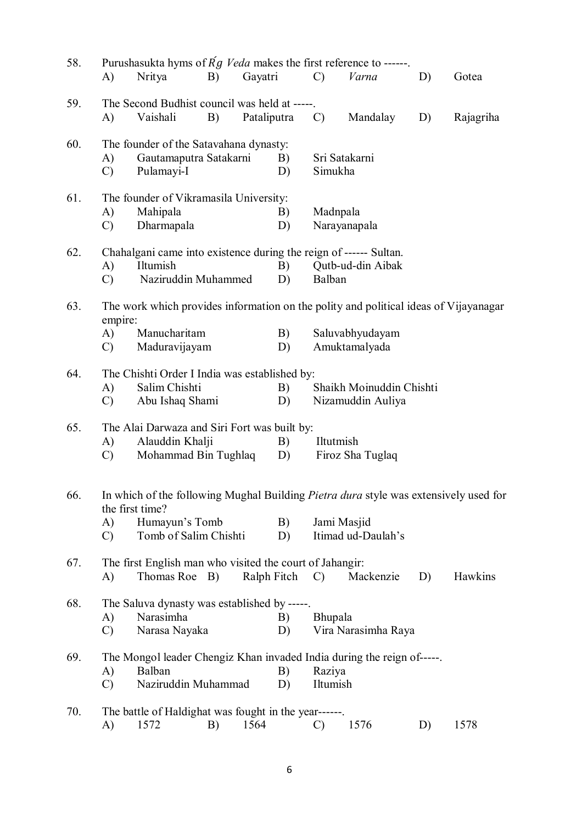| 58. | A)                                                                                                         | Purushasukta hyms of $Rg$ Veda makes the first reference to ------.<br>Nritya                           | B) | Gayatri     |          | $\mathcal{C}$      | Varna                                         | D) | Gotea     |
|-----|------------------------------------------------------------------------------------------------------------|---------------------------------------------------------------------------------------------------------|----|-------------|----------|--------------------|-----------------------------------------------|----|-----------|
| 59. | A)                                                                                                         | The Second Budhist council was held at -----.<br>Vaishali                                               | B) | Pataliputra |          | $\mathcal{C}$      | Mandalay                                      | D) | Rajagriha |
| 60. | A)<br>$\mathcal{C}$                                                                                        | The founder of the Satavahana dynasty:<br>Gautamaputra Satakarni<br>Pulamayi-I                          |    |             | B)<br>D) | Simukha            | Sri Satakarni                                 |    |           |
| 61. | A)<br>$\mathcal{C}$                                                                                        | The founder of Vikramasila University:<br>Mahipala<br>Dharmapala                                        |    |             | B)<br>D) | Madnpala           | Narayanapala                                  |    |           |
| 62. | A)<br>$\mathcal{C}$                                                                                        | Chahalgani came into existence during the reign of ------ Sultan.<br>Iltumish<br>Naziruddin Muhammed    |    |             | B)<br>D) | Balban             | Qutb-ud-din Aibak                             |    |           |
| 63. | empire:                                                                                                    | The work which provides information on the polity and political ideas of Vijayanagar                    |    |             |          |                    |                                               |    |           |
|     | $\bf{A}$<br>Manucharitam<br>Saluvabhyudayam<br>B)<br>Maduravijayam<br>Amuktamalyada<br>D)<br>$\mathcal{C}$ |                                                                                                         |    |             |          |                    |                                               |    |           |
| 64. | A)<br>$\mathcal{C}$                                                                                        | The Chishti Order I India was established by:<br>Salim Chishti<br>Abu Ishaq Shami                       |    |             | B)<br>D) |                    | Shaikh Moinuddin Chishti<br>Nizamuddin Auliya |    |           |
| 65. | A)<br>$\mathcal{C}$                                                                                        | The Alai Darwaza and Siri Fort was built by:<br>Alauddin Khalji<br>Mohammad Bin Tughlaq                 |    |             | B)<br>D) | Iltutmish          | Firoz Sha Tuglaq                              |    |           |
| 66. |                                                                                                            | In which of the following Mughal Building Pietra dura style was extensively used for<br>the first time? |    |             |          |                    |                                               |    |           |
|     | A)<br>$\mathcal{C}$                                                                                        | Humayun's Tomb<br>Tomb of Salim Chishti                                                                 |    |             | B)<br>D) | Jami Masjid        | Itimad ud-Daulah's                            |    |           |
| 67. | A)                                                                                                         | The first English man who visited the court of Jahangir:<br>Thomas Roe B)                               |    | Ralph Fitch |          | $\mathcal{C}$      | Mackenzie                                     | D) | Hawkins   |
| 68. | A)<br>$\mathcal{C}$                                                                                        | The Saluva dynasty was established by -----.<br>Narasimha<br>Narasa Nayaka                              |    |             | B)<br>D) | Bhupala            | Vira Narasimha Raya                           |    |           |
| 69. | A)<br>$\mathcal{C}$                                                                                        | The Mongol leader Chengiz Khan invaded India during the reign of-----.<br>Balban<br>Naziruddin Muhammad |    |             | B)<br>D) | Raziya<br>Iltumish |                                               |    |           |
| 70. | A)                                                                                                         | The battle of Haldighat was fought in the year------.<br>1572                                           | B) | 1564        |          | C)                 | 1576                                          | D) | 1578      |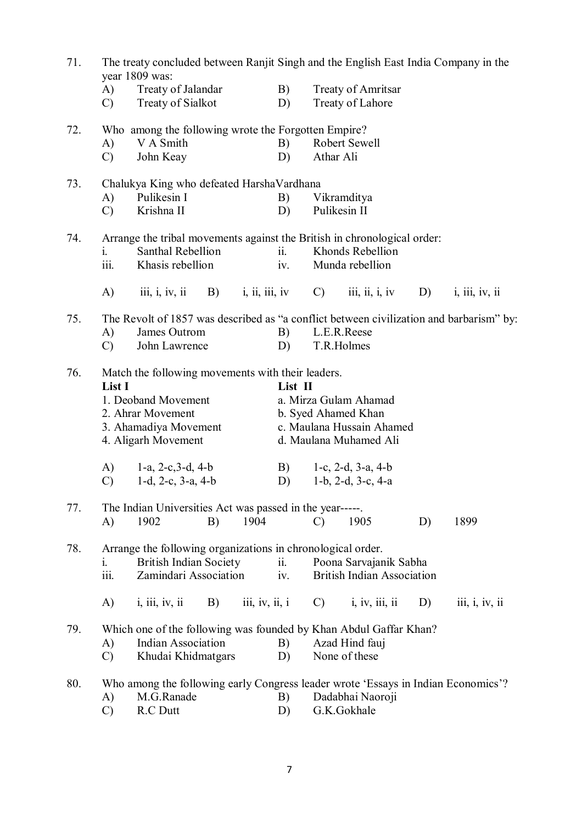| 71. | The treaty concluded between Ranjit Singh and the English East India Company in the<br>year 1809 was: |                                                                                               |            |                |          |                                              |                                               |    |                                                                                                   |  |  |
|-----|-------------------------------------------------------------------------------------------------------|-----------------------------------------------------------------------------------------------|------------|----------------|----------|----------------------------------------------|-----------------------------------------------|----|---------------------------------------------------------------------------------------------------|--|--|
|     | (A)<br>$\mathcal{C}$                                                                                  | Treaty of Jalandar<br>Treaty of Sialkot                                                       |            |                | B)<br>D) |                                              | <b>Treaty of Amritsar</b><br>Treaty of Lahore |    |                                                                                                   |  |  |
| 72. |                                                                                                       | Who among the following wrote the Forgotten Empire?                                           |            |                |          |                                              |                                               |    |                                                                                                   |  |  |
|     | A)<br>$\mathcal{C}$                                                                                   | V A Smith<br>John Keay                                                                        |            |                | B)<br>D) | Athar Ali                                    | Robert Sewell                                 |    |                                                                                                   |  |  |
| 73. |                                                                                                       | Chalukya King who defeated HarshaVardhana<br>Pulikesin I                                      |            |                |          |                                              |                                               |    |                                                                                                   |  |  |
|     | A)<br>$\mathcal{C}$                                                                                   | Krishna II                                                                                    |            |                | B)<br>D) | Pulikesin II                                 | Vikramditya                                   |    |                                                                                                   |  |  |
| 74. | 1.                                                                                                    | Arrange the tribal movements against the British in chronological order:<br>Santhal Rebellion |            |                | ii.      |                                              | Khonds Rebellion                              |    |                                                                                                   |  |  |
|     | iii.                                                                                                  | Khasis rebellion                                                                              |            |                | iv.      |                                              | Munda rebellion                               |    |                                                                                                   |  |  |
|     | A)                                                                                                    | $\overline{\text{iii}}, \overline{\text{i}}, \overline{\text{iv}}, \overline{\text{ii}}$      | <b>B</b> ) | i, ii, iii, iv |          | $\mathcal{C}$                                | iii, ii, i, iv                                | D) | i, iii, iv, ii                                                                                    |  |  |
| 75. | A)                                                                                                    | James Outrom                                                                                  |            |                | B)       |                                              | L.E.R.Reese                                   |    | The Revolt of 1857 was described as "a conflict between civilization and barbarism" by:           |  |  |
|     | $\mathcal{C}$                                                                                         | John Lawrence                                                                                 |            |                | D)       | T.R.Holmes                                   |                                               |    |                                                                                                   |  |  |
| 76. | List I                                                                                                | Match the following movements with their leaders.                                             |            |                | List II  |                                              |                                               |    |                                                                                                   |  |  |
|     |                                                                                                       | 1. Deoband Movement                                                                           |            |                |          | a. Mirza Gulam Ahamad<br>b. Syed Ahamed Khan |                                               |    |                                                                                                   |  |  |
|     |                                                                                                       | 2. Ahrar Movement<br>3. Ahamadiya Movement                                                    |            |                |          |                                              | c. Maulana Hussain Ahamed                     |    |                                                                                                   |  |  |
|     | 4. Aligarh Movement                                                                                   |                                                                                               |            |                |          |                                              | d. Maulana Muhamed Ali                        |    |                                                                                                   |  |  |
|     | A)                                                                                                    | 1-a, $2-c, 3-d, 4-b$                                                                          |            |                | B)       |                                              | 1-c, 2-d, 3-a, 4-b                            |    |                                                                                                   |  |  |
|     | $\mathcal{C}$                                                                                         | 1-d, 2-c, $3-a$ , $4-b$                                                                       |            |                | D)       |                                              | $1-b$ , $2-d$ , $3-c$ , $4-a$                 |    |                                                                                                   |  |  |
| 77. | A)                                                                                                    | The Indian Universities Act was passed in the year-----.<br>1902                              | B)         | 1904           |          | $\mathcal{C}$                                | 1905                                          | D) | 1899                                                                                              |  |  |
| 78. |                                                                                                       | Arrange the following organizations in chronological order.                                   |            |                |          |                                              |                                               |    |                                                                                                   |  |  |
|     | 1.                                                                                                    | <b>British Indian Society</b>                                                                 |            |                | ii.      |                                              | Poona Sarvajanik Sabha                        |    |                                                                                                   |  |  |
|     | iii.                                                                                                  | Zamindari Association                                                                         |            |                | iv.      |                                              | <b>British Indian Association</b>             |    |                                                                                                   |  |  |
|     | A)                                                                                                    | i, iii, iv, ii                                                                                | B)         | iii, iv, ii, i |          | $\mathcal{C}$                                | i, iv, iii, ii                                | D) | $\overline{\text{iii}}$ , $\overline{\text{i}}$ , $\overline{\text{iv}}$ , $\overline{\text{ii}}$ |  |  |
| 79. |                                                                                                       | Which one of the following was founded by Khan Abdul Gaffar Khan?                             |            |                |          |                                              |                                               |    |                                                                                                   |  |  |
|     | A)<br>$\mathcal{C}$                                                                                   | <b>Indian Association</b><br>Khudai Khidmatgars                                               |            |                | B)<br>D) |                                              | Azad Hind fauj<br>None of these               |    |                                                                                                   |  |  |
| 80. |                                                                                                       | Who among the following early Congress leader wrote 'Essays in Indian Economics'?             |            |                |          |                                              |                                               |    |                                                                                                   |  |  |
|     | M.G.Ranade<br>A)                                                                                      |                                                                                               |            |                | B)       |                                              | Dadabhai Naoroji                              |    |                                                                                                   |  |  |
|     | $\mathcal{C}$                                                                                         | R.C Dutt                                                                                      |            |                | D)       |                                              | G.K.Gokhale                                   |    |                                                                                                   |  |  |

7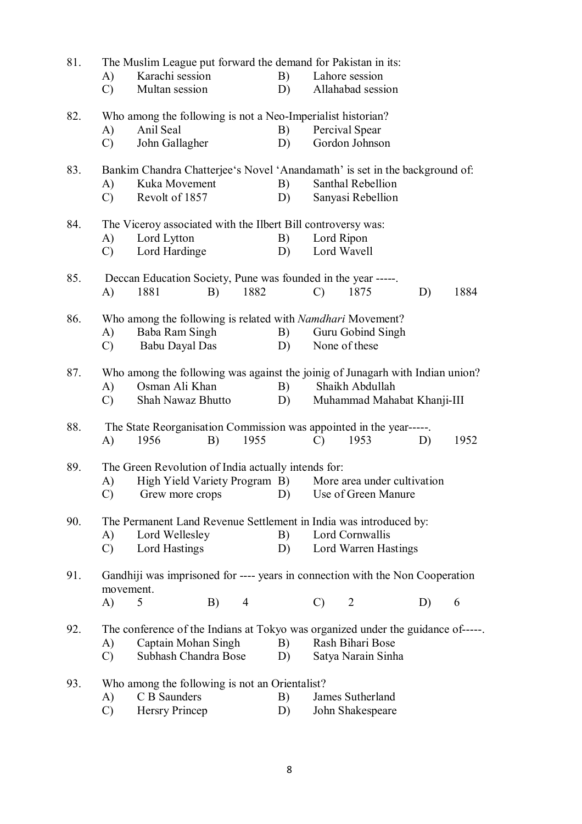| 81. |               | The Muslim League put forward the demand for Pakistan in its:                   |                |    |               |                             |    |      |
|-----|---------------|---------------------------------------------------------------------------------|----------------|----|---------------|-----------------------------|----|------|
|     | A)            | Karachi session                                                                 |                | B) |               | Lahore session              |    |      |
|     | $\mathcal{C}$ | Multan session                                                                  |                | D) |               | Allahabad session           |    |      |
| 82. |               | Who among the following is not a Neo-Imperialist historian?                     |                |    |               |                             |    |      |
|     | A)            | Anil Seal                                                                       |                | B) |               | Percival Spear              |    |      |
|     | $\mathcal{C}$ | John Gallagher                                                                  |                | D) |               | Gordon Johnson              |    |      |
| 83. |               | Bankim Chandra Chatterjee's Novel 'Anandamath' is set in the background of:     |                |    |               |                             |    |      |
|     | A)            | Kuka Movement                                                                   |                | B) |               | Santhal Rebellion           |    |      |
|     | $\mathcal{C}$ | Revolt of 1857                                                                  |                | D) |               | Sanyasi Rebellion           |    |      |
| 84. |               | The Viceroy associated with the Ilbert Bill controversy was:                    |                |    |               |                             |    |      |
|     | A)            | Lord Lytton                                                                     |                | B) | Lord Ripon    |                             |    |      |
|     | $\mathcal{C}$ | Lord Hardinge                                                                   |                | D) | Lord Wavell   |                             |    |      |
| 85. |               | Deccan Education Society, Pune was founded in the year -----.                   |                |    |               |                             |    |      |
|     | A)            | 1881<br>B)                                                                      | 1882           |    | $\mathcal{C}$ | 1875                        | D) | 1884 |
| 86. |               | Who among the following is related with <i>Namdhari</i> Movement?               |                |    |               |                             |    |      |
|     | A)            | Baba Ram Singh                                                                  |                | B) |               | Guru Gobind Singh           |    |      |
|     | $\mathcal{C}$ | Babu Dayal Das                                                                  |                | D) |               | None of these               |    |      |
| 87. |               | Who among the following was against the joinig of Junagarh with Indian union?   |                |    |               |                             |    |      |
|     | A)            | Osman Ali Khan                                                                  |                | B) |               | Shaikh Abdullah             |    |      |
|     | $\mathcal{C}$ | Shah Nawaz Bhutto                                                               |                | D) |               | Muhammad Mahabat Khanji-III |    |      |
| 88. |               | The State Reorganisation Commission was appointed in the year-----              |                |    |               |                             |    |      |
|     | A)            | 1956<br>B)                                                                      | 1955           |    | $\mathcal{C}$ | 1953                        | D) | 1952 |
| 89. |               | The Green Revolution of India actually intends for:                             |                |    |               |                             |    |      |
|     | A)            | High Yield Variety Program B) More area under cultivation                       |                |    |               |                             |    |      |
|     | $\mathcal{C}$ | Grew more crops (D) Use of Green Manure                                         |                |    |               |                             |    |      |
| 90. |               | The Permanent Land Revenue Settlement in India was introduced by:               |                |    |               |                             |    |      |
|     | A)            | Lord Wellesley                                                                  |                | B) |               | Lord Cornwallis             |    |      |
|     | $\mathcal{C}$ | Lord Hastings                                                                   |                | D) |               | Lord Warren Hastings        |    |      |
| 91. | movement.     | Gandhiji was imprisoned for ---- years in connection with the Non Cooperation   |                |    |               |                             |    |      |
|     | A)            | 5<br>B)                                                                         | $\overline{4}$ |    | $\mathcal{C}$ | $\overline{2}$              | D) | 6    |
| 92. |               | The conference of the Indians at Tokyo was organized under the guidance of----- |                |    |               |                             |    |      |
|     | A)            | Captain Mohan Singh                                                             |                | B) |               | Rash Bihari Bose            |    |      |
|     | $\mathcal{C}$ | Subhash Chandra Bose                                                            |                | D) |               | Satya Narain Sinha          |    |      |
| 93. |               | Who among the following is not an Orientalist?                                  |                |    |               |                             |    |      |
|     | A)            | C B Saunders                                                                    |                | B) |               | James Sutherland            |    |      |
|     | $\mathcal{C}$ | Hersry Princep                                                                  |                | D) |               | John Shakespeare            |    |      |
|     |               |                                                                                 |                |    |               |                             |    |      |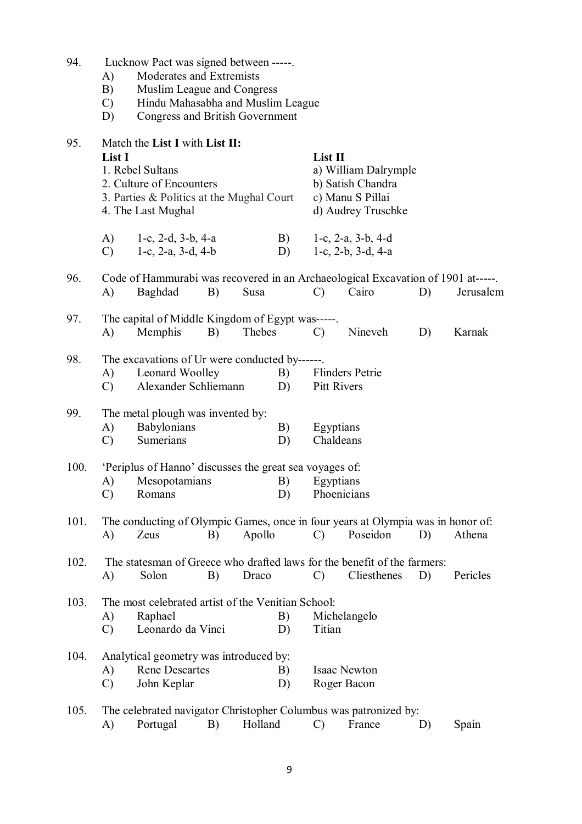| 94. | Lucknow Pact was signed between -----. |  |  |  |  |
|-----|----------------------------------------|--|--|--|--|
|-----|----------------------------------------|--|--|--|--|

- A) Moderates and Extremists
- B) Muslim League and Congress
- C) Hindu Mahasabha and Muslim League
- D) Congress and British Government

| 95.  | Match the List I with List II:<br>List I<br>1. Rebel Sultans<br>2. Culture of Encounters<br>3. Parties & Politics at the Mughal Court<br>4. The Last Mughal |                                                                                                                 |    |         | List II<br>a) William Dalrymple<br>b) Satish Chandra<br>c) Manu S Pillai<br>d) Audrey Truschke |                                |                                                          |    |           |  |
|------|-------------------------------------------------------------------------------------------------------------------------------------------------------------|-----------------------------------------------------------------------------------------------------------------|----|---------|------------------------------------------------------------------------------------------------|--------------------------------|----------------------------------------------------------|----|-----------|--|
|      | A)<br>C)                                                                                                                                                    | 1-c, 2-d, $3-b$ , $4-a$<br>1-c, $2-a$ , $3-d$ , $4-b$                                                           |    |         | B)<br>D)                                                                                       |                                | 1-c, $2-a$ , $3-b$ , $4-d$<br>1-c, $2-b$ , $3-d$ , $4-a$ |    |           |  |
| 96.  | A)                                                                                                                                                          | Code of Hammurabi was recovered in an Archaeological Excavation of 1901 at-----.<br>Baghdad                     | B) | Susa    |                                                                                                | $\mathcal{C}$                  | Cairo                                                    | D) | Jerusalem |  |
| 97.  | $\bf{A}$                                                                                                                                                    | The capital of Middle Kingdom of Egypt was-----.<br>Memphis                                                     | B) | Thebes  |                                                                                                | $\mathcal{C}$                  | Nineveh                                                  | D) | Karnak    |  |
| 98.  | A)<br>$\mathcal{C}$                                                                                                                                         | The excavations of Ur were conducted by------.<br>Leonard Woolley<br>B)<br>Alexander Schliemann<br>D)           |    |         |                                                                                                | Flinders Petrie<br>Pitt Rivers |                                                          |    |           |  |
| 99.  | $\bf{A}$ )<br>$\mathcal{C}$                                                                                                                                 | The metal plough was invented by:<br>Babylonians<br>Sumerians                                                   |    |         | B)<br>D)                                                                                       | Egyptians<br>Chaldeans         |                                                          |    |           |  |
| 100. | A)<br>$\mathcal{C}$                                                                                                                                         | 'Periplus of Hanno' discusses the great sea voyages of:<br>Mesopotamians<br>Romans                              |    |         | B)<br>D)                                                                                       | Egyptians<br>Phoenicians       |                                                          |    |           |  |
| 101. | A)                                                                                                                                                          | The conducting of Olympic Games, once in four years at Olympia was in honor of:<br>Zeus                         | B) | Apollo  |                                                                                                | $\mathcal{C}$                  | Poseidon                                                 | D) | Athena    |  |
| 102. |                                                                                                                                                             | The statesman of Greece who drafted laws for the benefit of the farmers:<br>A) Solon B) Draco C) Cliesthenes D) |    |         |                                                                                                |                                |                                                          |    | Pericles  |  |
| 103. | A)<br>$\mathcal{C}$                                                                                                                                         | The most celebrated artist of the Venitian School:<br>Raphael<br>Leonardo da Vinci                              |    |         | B)<br>D)                                                                                       | Titian                         | Michelangelo                                             |    |           |  |
| 104. | A)<br>C)                                                                                                                                                    | Analytical geometry was introduced by:<br><b>Rene Descartes</b><br>John Keplar                                  |    |         | B)<br>D)                                                                                       | Roger Bacon                    | <b>Isaac Newton</b>                                      |    |           |  |
| 105. | A)                                                                                                                                                          | The celebrated navigator Christopher Columbus was patronized by:<br>Portugal                                    | B) | Holland |                                                                                                | $\mathcal{C}$                  | France                                                   | D) | Spain     |  |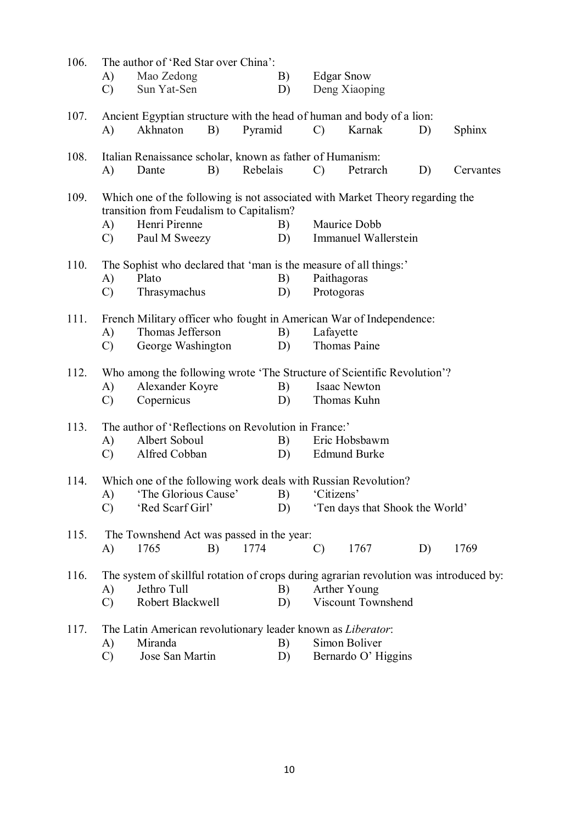| 106. | The author of 'Red Star over China': |                                                                                                                           |          |    |               |                                 |    |               |  |
|------|--------------------------------------|---------------------------------------------------------------------------------------------------------------------------|----------|----|---------------|---------------------------------|----|---------------|--|
|      | A)                                   | Mao Zedong                                                                                                                |          | B) |               | <b>Edgar Snow</b>               |    |               |  |
|      | $\mathcal{C}$                        | Sun Yat-Sen                                                                                                               |          | D) |               | Deng Xiaoping                   |    |               |  |
| 107. |                                      | Ancient Egyptian structure with the head of human and body of a lion:                                                     |          |    |               |                                 |    |               |  |
|      | A)                                   | Akhnaton<br>B)                                                                                                            | Pyramid  |    | $\mathcal{C}$ | Karnak                          | D) | <b>Sphinx</b> |  |
| 108. |                                      | Italian Renaissance scholar, known as father of Humanism:                                                                 |          |    |               |                                 |    |               |  |
|      | A)                                   | Dante<br>B)                                                                                                               | Rebelais |    | $\mathcal{C}$ | Petrarch                        | D) | Cervantes     |  |
| 109. |                                      | Which one of the following is not associated with Market Theory regarding the<br>transition from Feudalism to Capitalism? |          |    |               |                                 |    |               |  |
|      | A)                                   | Henri Pirenne                                                                                                             |          | B) |               | Maurice Dobb                    |    |               |  |
|      | $\mathcal{C}$                        | Paul M Sweezy                                                                                                             |          | D) |               | Immanuel Wallerstein            |    |               |  |
| 110. |                                      | The Sophist who declared that 'man is the measure of all things:'                                                         |          |    |               |                                 |    |               |  |
|      | A)                                   | Plato                                                                                                                     |          | B) |               | Paithagoras                     |    |               |  |
|      | $\mathcal{C}$                        | Thrasymachus                                                                                                              |          | D) | Protogoras    |                                 |    |               |  |
| 111. |                                      | French Military officer who fought in American War of Independence:                                                       |          |    |               |                                 |    |               |  |
|      | A)                                   | Thomas Jefferson                                                                                                          |          | B) | Lafayette     |                                 |    |               |  |
|      | $\mathcal{C}$                        | George Washington                                                                                                         |          | D) |               | Thomas Paine                    |    |               |  |
| 112. |                                      | Who among the following wrote 'The Structure of Scientific Revolution'?                                                   |          |    |               |                                 |    |               |  |
|      | A)                                   | Alexander Koyre                                                                                                           |          | B) |               | <b>Isaac Newton</b>             |    |               |  |
|      | $\mathcal{C}$                        | Copernicus                                                                                                                |          | D) |               | Thomas Kuhn                     |    |               |  |
| 113. |                                      | The author of 'Reflections on Revolution in France:'                                                                      |          |    |               |                                 |    |               |  |
|      | A)                                   | Albert Soboul                                                                                                             |          | B) |               | Eric Hobsbawm                   |    |               |  |
|      | $\mathcal{C}$                        | Alfred Cobban                                                                                                             |          | D) |               | <b>Edmund Burke</b>             |    |               |  |
| 114. |                                      | Which one of the following work deals with Russian Revolution?                                                            |          |    |               |                                 |    |               |  |
|      |                                      | A) The Glorious Cause' B) Citizens'                                                                                       |          |    |               |                                 |    |               |  |
|      | $\mathcal{C}$                        | 'Red Scarf Girl'                                                                                                          |          | D) |               | 'Ten days that Shook the World' |    |               |  |
| 115. |                                      | The Townshend Act was passed in the year:                                                                                 |          |    |               |                                 |    |               |  |
|      | A)                                   | 1765<br>B)                                                                                                                | 1774     |    | C)            | 1767                            | D) | 1769          |  |
| 116. |                                      | The system of skillful rotation of crops during agrarian revolution was introduced by:                                    |          |    |               |                                 |    |               |  |
|      | A)                                   | Jethro Tull                                                                                                               |          | B) |               | Arther Young                    |    |               |  |
|      | $\mathcal{C}$                        | Robert Blackwell                                                                                                          |          | D) |               | Viscount Townshend              |    |               |  |
| 117. |                                      | The Latin American revolutionary leader known as Liberator:                                                               |          |    |               |                                 |    |               |  |
|      | A)                                   | Miranda                                                                                                                   |          | B) |               | Simon Boliver                   |    |               |  |
|      | $\mathcal{C}$                        | Jose San Martin                                                                                                           |          | D) |               | Bernardo O' Higgins             |    |               |  |